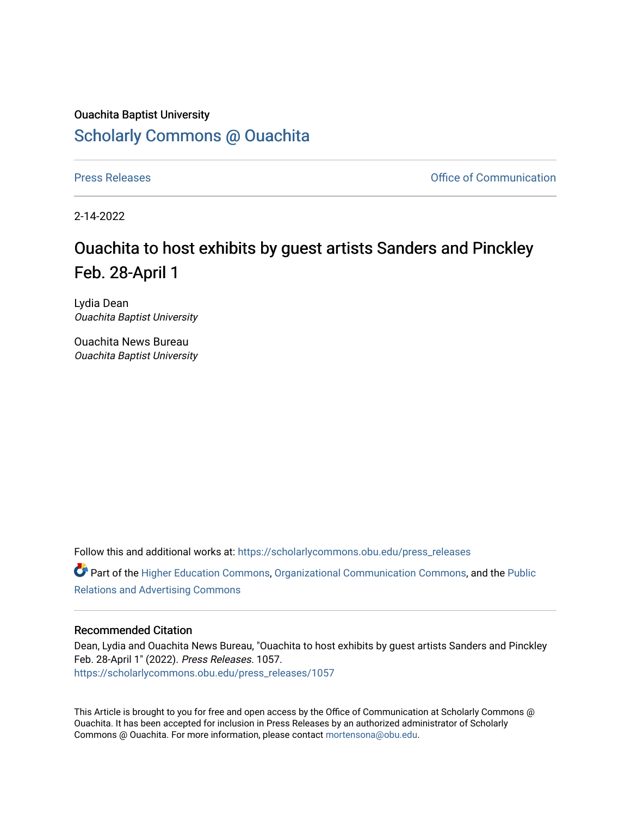## Ouachita Baptist University [Scholarly Commons @ Ouachita](https://scholarlycommons.obu.edu/)

[Press Releases](https://scholarlycommons.obu.edu/press_releases) **Press Releases Communication** 

2-14-2022

## Ouachita to host exhibits by guest artists Sanders and Pinckley Feb. 28-April 1

Lydia Dean Ouachita Baptist University

Ouachita News Bureau Ouachita Baptist University

Follow this and additional works at: [https://scholarlycommons.obu.edu/press\\_releases](https://scholarlycommons.obu.edu/press_releases?utm_source=scholarlycommons.obu.edu%2Fpress_releases%2F1057&utm_medium=PDF&utm_campaign=PDFCoverPages)

Part of the [Higher Education Commons,](http://network.bepress.com/hgg/discipline/1245?utm_source=scholarlycommons.obu.edu%2Fpress_releases%2F1057&utm_medium=PDF&utm_campaign=PDFCoverPages) [Organizational Communication Commons,](http://network.bepress.com/hgg/discipline/335?utm_source=scholarlycommons.obu.edu%2Fpress_releases%2F1057&utm_medium=PDF&utm_campaign=PDFCoverPages) and the [Public](http://network.bepress.com/hgg/discipline/336?utm_source=scholarlycommons.obu.edu%2Fpress_releases%2F1057&utm_medium=PDF&utm_campaign=PDFCoverPages) [Relations and Advertising Commons](http://network.bepress.com/hgg/discipline/336?utm_source=scholarlycommons.obu.edu%2Fpress_releases%2F1057&utm_medium=PDF&utm_campaign=PDFCoverPages) 

## Recommended Citation

Dean, Lydia and Ouachita News Bureau, "Ouachita to host exhibits by guest artists Sanders and Pinckley Feb. 28-April 1" (2022). Press Releases. 1057. [https://scholarlycommons.obu.edu/press\\_releases/1057](https://scholarlycommons.obu.edu/press_releases/1057?utm_source=scholarlycommons.obu.edu%2Fpress_releases%2F1057&utm_medium=PDF&utm_campaign=PDFCoverPages) 

This Article is brought to you for free and open access by the Office of Communication at Scholarly Commons @ Ouachita. It has been accepted for inclusion in Press Releases by an authorized administrator of Scholarly Commons @ Ouachita. For more information, please contact [mortensona@obu.edu](mailto:mortensona@obu.edu).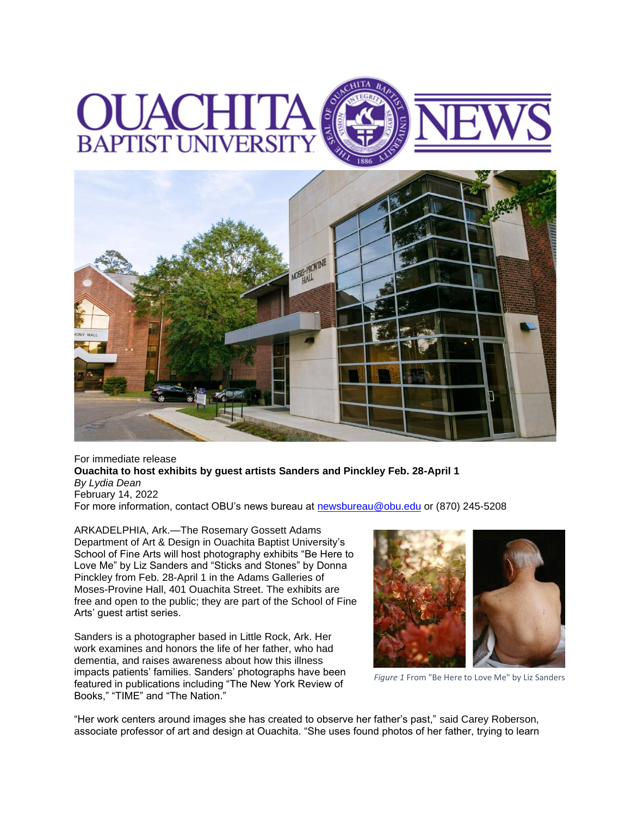



For immediate release **Ouachita to host exhibits by guest artists Sanders and Pinckley Feb. 28-April 1** *By Lydia Dean* February 14, 2022 For more information, contact OBU's news bureau at [newsbureau@obu.edu](mailto:newsbureau@obu.edu) or (870) 245-5208

ARKADELPHIA, Ark.—The Rosemary Gossett Adams Department of Art & Design in Ouachita Baptist University's School of Fine Arts will host photography exhibits "Be Here to Love Me" by Liz Sanders and "Sticks and Stones" by Donna Pinckley from Feb. 28-April 1 in the Adams Galleries of Moses-Provine Hall, 401 Ouachita Street. The exhibits are free and open to the public; they are part of the School of Fine Arts' guest artist series.

Sanders is a photographer based in Little Rock, Ark. Her work examines and honors the life of her father, who had dementia, and raises awareness about how this illness impacts patients' families. Sanders' photographs have been featured in publications including "The New York Review of Books," "TIME" and "The Nation."



*Figure 1* From "Be Here to Love Me" by Liz Sanders

"Her work centers around images she has created to observe her father's past," said Carey Roberson, associate professor of art and design at Ouachita. "She uses found photos of her father, trying to learn